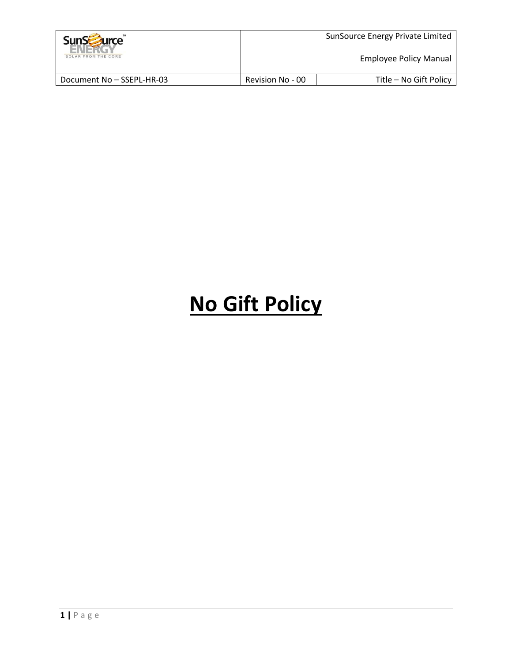| <b>SunScruite</b>         | SunSource Energy Private Limited |                        |
|---------------------------|----------------------------------|------------------------|
| SOLAR FROM THE CORE       | <b>Employee Policy Manual</b>    |                        |
| Document No - SSEPL-HR-03 | Revision No - 00                 | Title - No Gift Policy |

# **No Gift Policy**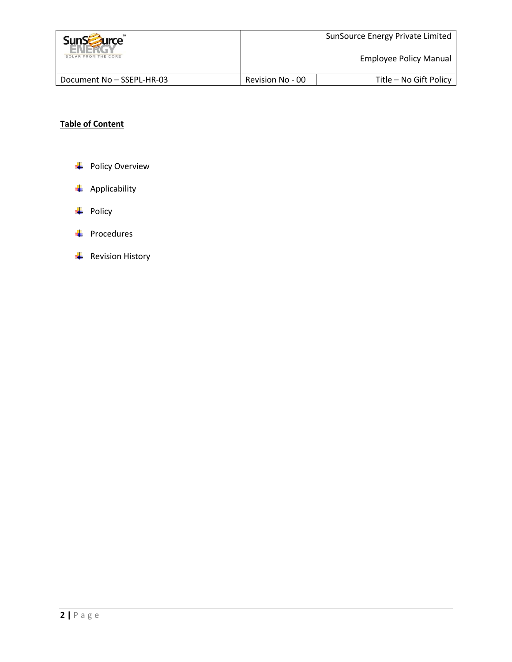| <b>SunSzurce</b>          | SunSource Energy Private Limited |                        |  |
|---------------------------|----------------------------------|------------------------|--|
| SOLAR FROM THE CORE       | Employee Policy Manual           |                        |  |
| Document No - SSEPL-HR-03 | Revision No - 00                 | Title - No Gift Policy |  |

## **Table of Content**

- + Policy Overview
- $\overline{\phantom{a}}$  Applicability
- $\overline{\phantom{a}}$  Policy
- $\overline{\text{Fa}}$  Procedures
- $\overline{\phantom{a}}$  Revision History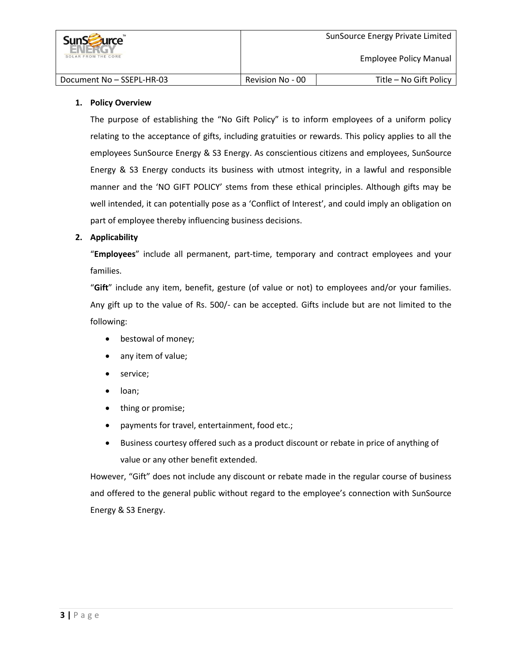

#### **1. Policy Overview**

The purpose of establishing the "No Gift Policy" is to inform employees of a uniform policy relating to the acceptance of gifts, including gratuities or rewards. This policy applies to all the employees SunSource Energy & S3 Energy. As conscientious citizens and employees, SunSource Energy & S3 Energy conducts its business with utmost integrity, in a lawful and responsible manner and the 'NO GIFT POLICY' stems from these ethical principles. Although gifts may be well intended, it can potentially pose as a 'Conflict of Interest', and could imply an obligation on part of employee thereby influencing business decisions.

#### **2. Applicability**

"**Employees**" include all permanent, part-time, temporary and contract employees and your families.

"**Gift**" include any item, benefit, gesture (of value or not) to employees and/or your families. Any gift up to the value of Rs. 500/- can be accepted. Gifts include but are not limited to the following:

- bestowal of money;
- any item of value;
- service;
- loan;
- thing or promise;
- payments for travel, entertainment, food etc.;
- Business courtesy offered such as a product discount or rebate in price of anything of value or any other benefit extended.

However, "Gift" does not include any discount or rebate made in the regular course of business and offered to the general public without regard to the employee's connection with SunSource Energy & S3 Energy.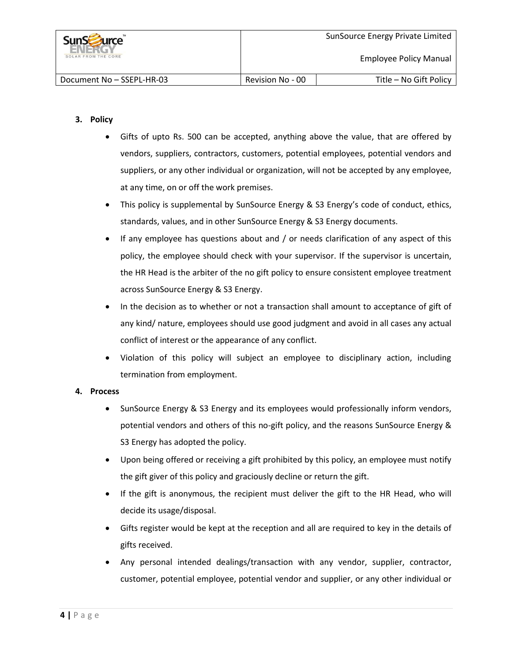

#### **3. Policy**

- Gifts of upto Rs. 500 can be accepted, anything above the value, that are offered by vendors, suppliers, contractors, customers, potential employees, potential vendors and suppliers, or any other individual or organization, will not be accepted by any employee, at any time, on or off the work premises.
- This policy is supplemental by SunSource Energy & S3 Energy's code of conduct, ethics, standards, values, and in other SunSource Energy & S3 Energy documents.
- If any employee has questions about and / or needs clarification of any aspect of this policy, the employee should check with your supervisor. If the supervisor is uncertain, the HR Head is the arbiter of the no gift policy to ensure consistent employee treatment across SunSource Energy & S3 Energy.
- In the decision as to whether or not a transaction shall amount to acceptance of gift of any kind/ nature, employees should use good judgment and avoid in all cases any actual conflict of interest or the appearance of any conflict.
- Violation of this policy will subject an employee to disciplinary action, including termination from employment.

#### **4. Process**

- SunSource Energy & S3 Energy and its employees would professionally inform vendors, potential vendors and others of this no-gift policy, and the reasons SunSource Energy & S3 Energy has adopted the policy.
- Upon being offered or receiving a gift prohibited by this policy, an employee must notify the gift giver of this policy and graciously decline or return the gift.
- If the gift is anonymous, the recipient must deliver the gift to the HR Head, who will decide its usage/disposal.
- Gifts register would be kept at the reception and all are required to key in the details of gifts received.
- Any personal intended dealings/transaction with any vendor, supplier, contractor, customer, potential employee, potential vendor and supplier, or any other individual or